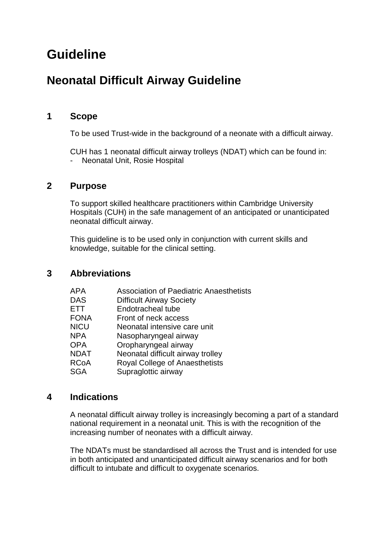# **Guideline**

# **Neonatal Difficult Airway Guideline**

# **1 Scope**

To be used Trust-wide in the background of a neonate with a difficult airway.

CUH has 1 neonatal difficult airway trolleys (NDAT) which can be found in: - Neonatal Unit, Rosie Hospital

## **2 Purpose**

To support skilled healthcare practitioners within Cambridge University Hospitals (CUH) in the safe management of an anticipated or unanticipated neonatal difficult airway.

This guideline is to be used only in conjunction with current skills and knowledge, suitable for the clinical setting.

# **3 Abbreviations**

| APA         | <b>Association of Paediatric Anaesthetists</b> |
|-------------|------------------------------------------------|
| DAS         | <b>Difficult Airway Society</b>                |
| ETT         | Endotracheal tube                              |
| <b>FONA</b> | Front of neck access                           |
| <b>NICU</b> | Neonatal intensive care unit                   |
| <b>NPA</b>  | Nasopharyngeal airway                          |
| OPA         | Oropharyngeal airway                           |
| NDAT        | Neonatal difficult airway trolley              |
| RCoA        | Royal College of Anaesthetists                 |
| SGA         | Supraglottic airway                            |

## **4 Indications**

A neonatal difficult airway trolley is increasingly becoming a part of a standard national requirement in a neonatal unit. This is with the recognition of the increasing number of neonates with a difficult airway.

The NDATs must be standardised all across the Trust and is intended for use in both anticipated and unanticipated difficult airway scenarios and for both difficult to intubate and difficult to oxygenate scenarios.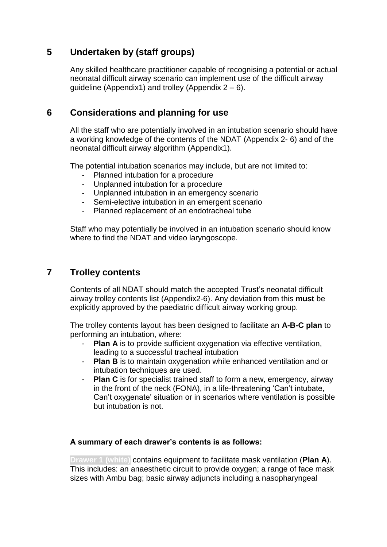# **5 Undertaken by (staff groups)**

Any skilled healthcare practitioner capable of recognising a potential or actual neonatal difficult airway scenario can implement use of the difficult airway guideline (Appendix1) and trolley (Appendix  $2 - 6$ ).

# **6 Considerations and planning for use**

All the staff who are potentially involved in an intubation scenario should have a working knowledge of the contents of the NDAT (Appendix 2- 6) and of the neonatal difficult airway algorithm (Appendix1).

The potential intubation scenarios may include, but are not limited to:

- Planned intubation for a procedure<br>- Unplanned intubation for a procedu
- Unplanned intubation for a procedure
- Unplanned intubation in an emergency scenario
- Semi-elective intubation in an emergent scenario
- Planned replacement of an endotracheal tube

Staff who may potentially be involved in an intubation scenario should know where to find the NDAT and video laryngoscope.

# **7 Trolley contents**

Contents of all NDAT should match the accepted Trust's neonatal difficult airway trolley contents list (Appendix2-6). Any deviation from this **must** be explicitly approved by the paediatric difficult airway working group.

The trolley contents layout has been designed to facilitate an **A-B-C plan** to performing an intubation, where:

- Plan A is to provide sufficient oxygenation via effective ventilation, leading to a successful tracheal intubation
- **Plan B** is to maintain oxygenation while enhanced ventilation and or intubation techniques are used.
- **Plan C** is for specialist trained staff to form a new, emergency, airway in the front of the neck (FONA), in a life-threatening 'Can't intubate, Can't oxygenate' situation or in scenarios where ventilation is possible but intubation is not.

## **A summary of each drawer's contents is as follows:**

**Drawer 1 (white)** contains equipment to facilitate mask ventilation (**Plan A**). This includes: an anaesthetic circuit to provide oxygen; a range of face mask sizes with Ambu bag; basic airway adjuncts including a nasopharyngeal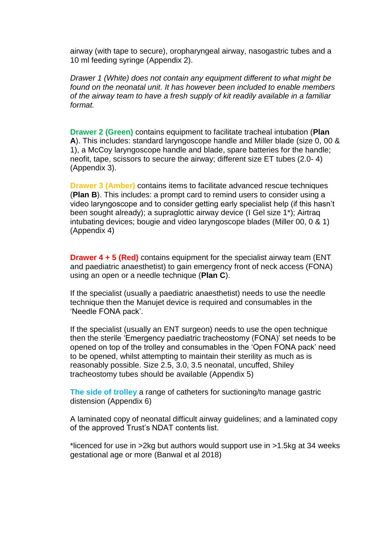airway (with tape to secure), oropharyngeal airway, nasogastric tubes and a 10 ml feeding syringe (Appendix 2).

*Drawer 1 (White) does not contain any equipment different to what might be found on the neonatal unit. It has however been included to enable members of the airway team to have a fresh supply of kit readily available in a familiar format.*

**Drawer 2 (Green)** contains equipment to facilitate tracheal intubation (**Plan A**). This includes: standard laryngoscope handle and Miller blade (size 0, 00 & 1), a McCoy laryngoscope handle and blade, spare batteries for the handle; neofit, tape, scissors to secure the airway; different size ET tubes (2.0- 4) (Appendix 3).

**Drawer 3 (Amber)** contains items to facilitate advanced rescue techniques (**Plan B**). This includes: a prompt card to remind users to consider using a video laryngoscope and to consider getting early specialist help (if this hasn't been sought already); a supraglottic airway device (I Gel size 1\*); Airtraq intubating devices; bougie and video laryngoscope blades (Miller 00, 0 & 1) (Appendix 4)

**Drawer 4 + 5 (Red)** contains equipment for the specialist airway team (ENT and paediatric anaesthetist) to gain emergency front of neck access (FONA) using an open or a needle technique (**Plan C**).

If the specialist (usually a paediatric anaesthetist) needs to use the needle technique then the Manujet device is required and consumables in the 'Needle FONA pack'.

If the specialist (usually an ENT surgeon) needs to use the open technique then the sterile 'Emergency paediatric tracheostomy (FONA)' set needs to be opened on top of the trolley and consumables in the 'Open FONA pack' need to be opened, whilst attempting to maintain their sterility as much as is reasonably possible. Size 2.5, 3.0, 3.5 neonatal, uncuffed, Shiley tracheostomy tubes should be available (Appendix 5)

**The side of trolley** a range of catheters for suctioning/to manage gastric distension (Appendix 6)

A laminated copy of neonatal difficult airway guidelines; and a laminated copy of the approved Trust's NDAT contents list.

\*licenced for use in >2kg but authors would support use in >1.5kg at 34 weeks gestational age or more (Banwal et al 2018)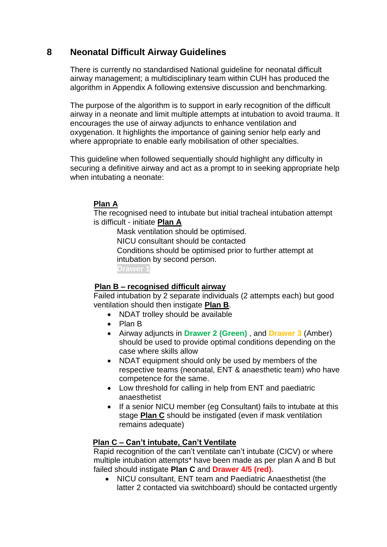# **8 Neonatal Difficult Airway Guidelines**

There is currently no standardised National guideline for neonatal difficult airway management; a multidisciplinary team within CUH has produced the algorithm in Appendix A following extensive discussion and benchmarking.

The purpose of the algorithm is to support in early recognition of the difficult airway in a neonate and limit multiple attempts at intubation to avoid trauma. It encourages the use of airway adjuncts to enhance ventilation and oxygenation. It highlights the importance of gaining senior help early and where appropriate to enable early mobilisation of other specialties.

This guideline when followed sequentially should highlight any difficulty in securing a definitive airway and act as a prompt to in seeking appropriate help when intubating a neonate:

## **Plan A**

The recognised need to intubate but initial tracheal intubation attempt is difficult - initiate **Plan A**

 Mask ventilation should be optimised. NICU consultant should be contacted Conditions should be optimised prior to further attempt at intubation by second person. **Drawer 1** 

#### **Plan B – recognised difficult airway**

Failed intubation by 2 separate individuals (2 attempts each) but good ventilation should then instigate **Plan B**.

- NDAT trolley should be available
- Plan B
- Airway adjuncts in **Drawer 2 (Green)** , and **Drawer 3** (Amber) should be used to provide optimal conditions depending on the case where skills allow
- NDAT equipment should only be used by members of the respective teams (neonatal, ENT & anaesthetic team) who have competence for the same.
- Low threshold for calling in help from ENT and paediatric anaesthetist
- If a senior NICU member (eg Consultant) fails to intubate at this stage **Plan C** should be instigated (even if mask ventilation remains adequate)

#### **Plan C – Can't intubate, Can't Ventilate**

Rapid recognition of the can't ventilate can't intubate (CICV) or where multiple intubation attempts\* have been made as per plan A and B but failed should instigate **Plan C** and **Drawer 4/5 (red).** 

 NICU consultant, ENT team and Paediatric Anaesthetist (the latter 2 contacted via switchboard) should be contacted urgently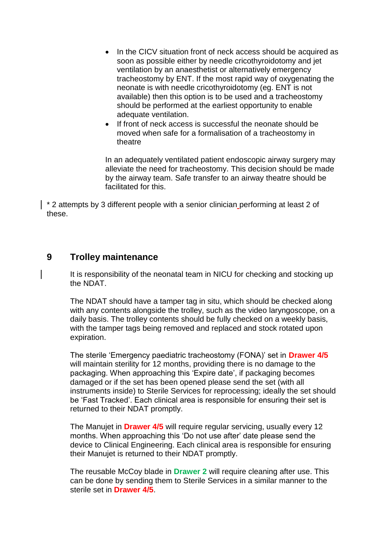- In the CICV situation front of neck access should be acquired as soon as possible either by needle cricothyroidotomy and jet ventilation by an anaesthetist or alternatively emergency tracheostomy by ENT. If the most rapid way of oxygenating the neonate is with needle cricothyroidotomy (eg. ENT is not available) then this option is to be used and a tracheostomy should be performed at the earliest opportunity to enable adequate ventilation.
- If front of neck access is successful the neonate should be moved when safe for a formalisation of a tracheostomy in theatre

In an adequately ventilated patient endoscopic airway surgery may alleviate the need for tracheostomy. This decision should be made by the airway team. Safe transfer to an airway theatre should be facilitated for this.

\* 2 attempts by 3 different people with a senior clinician performing at least 2 of these.

## **9 Trolley maintenance**

It is responsibility of the neonatal team in NICU for checking and stocking up the NDAT.

The NDAT should have a tamper tag in situ, which should be checked along with any contents alongside the trolley, such as the video laryngoscope, on a daily basis. The trolley contents should be fully checked on a weekly basis, with the tamper tags being removed and replaced and stock rotated upon expiration.

The sterile 'Emergency paediatric tracheostomy (FONA)' set in **Drawer 4/5** will maintain sterility for 12 months, providing there is no damage to the packaging. When approaching this 'Expire date', if packaging becomes damaged or if the set has been opened please send the set (with all instruments inside) to Sterile Services for reprocessing; ideally the set should be 'Fast Tracked'. Each clinical area is responsible for ensuring their set is returned to their NDAT promptly.

The Manujet in **Drawer 4/5** will require regular servicing, usually every 12 months. When approaching this 'Do not use after' date please send the device to Clinical Engineering. Each clinical area is responsible for ensuring their Manujet is returned to their NDAT promptly.

The reusable McCoy blade in **Drawer 2** will require cleaning after use. This can be done by sending them to Sterile Services in a similar manner to the sterile set in **Drawer 4/5**.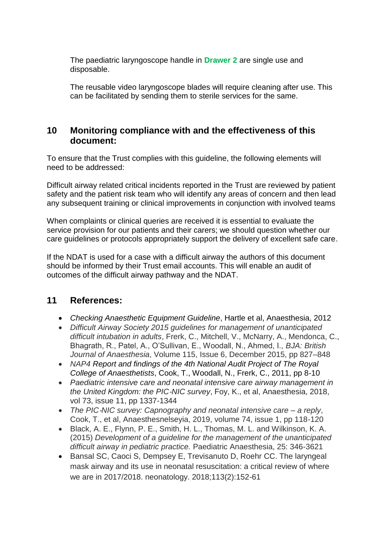The paediatric laryngoscope handle in **Drawer 2** are single use and disposable.

The reusable video laryngoscope blades will require cleaning after use. This can be facilitated by sending them to sterile services for the same.

# **10 Monitoring compliance with and the effectiveness of this document:**

To ensure that the Trust complies with this guideline, the following elements will need to be addressed:

Difficult airway related critical incidents reported in the Trust are reviewed by patient safety and the patient risk team who will identify any areas of concern and then lead any subsequent training or clinical improvements in conjunction with involved teams

When complaints or clinical queries are received it is essential to evaluate the service provision for our patients and their carers; we should question whether our care guidelines or protocols appropriately support the delivery of excellent safe care.

If the NDAT is used for a case with a difficult airway the authors of this document should be informed by their Trust email accounts. This will enable an audit of outcomes of the difficult airway pathway and the NDAT.

# **11 References:**

- *Checking Anaesthetic Equipment Guideline*, Hartle et al, Anaesthesia, 2012
- *Difficult Airway Society 2015 guidelines for management of unanticipated difficult intubation in adults*, Frerk, C., Mitchell, V., McNarry, A., Mendonca, C., Bhagrath, R., Patel, A., O'Sullivan, E., Woodall, N., Ahmed, I., *BJA: British Journal of Anaesthesia*, Volume 115, Issue 6, December 2015, pp 827–848
- *NAP4 Report and findings of the 4th National Audit Project of The Royal College of Anaesthetists*, Cook, T., Woodall, N., Frerk, C., 2011, pp 8-10
- *Paediatric intensive care and neonatal intensive care airway management in the United Kingdom: the PIC*‐*NIC survey*, Foy, K., et al, Anaesthesia, 2018, vol 73, issue 11, pp 1337-1344
- *The PIC*‐*NIC survey: Capnography and neonatal intensive care – a reply*, Cook, T., et al, Anaesthesnelseyia, 2019, volume 74, issue 1, pp 118-120
- Black, A. E., Flynn, P. E., Smith, H. L., Thomas, M. L. and Wilkinson, K. A. (2015) *Development of a guideline for the management of the unanticipated difficult airway in pediatric practice.* Paediatric Anaesthesia, 25: 346-3621
- Bansal SC, Caoci S, Dempsey E, Trevisanuto D, Roehr CC. The laryngeal mask airway and its use in neonatal resuscitation: a critical review of where we are in 2017/2018. neonatology. 2018;113(2):152-61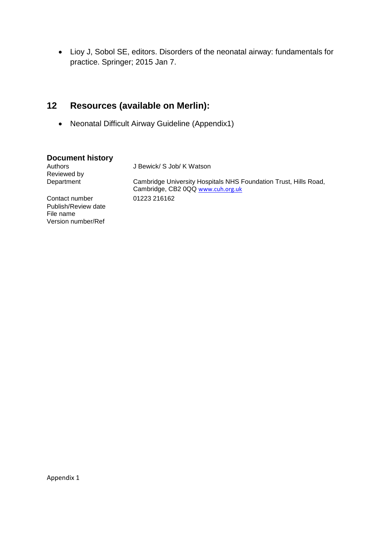Lioy J, Sobol SE, editors. Disorders of the neonatal airway: fundamentals for practice. Springer; 2015 Jan 7.

# **12 Resources (available on Merlin):**

Neonatal Difficult Airway Guideline (Appendix1)

#### **Document history**

| Authors<br>Reviewed by                                                   | J Bewick/ S Job/ K Watson                                                                             |
|--------------------------------------------------------------------------|-------------------------------------------------------------------------------------------------------|
| Department                                                               | Cambridge University Hospitals NHS Foundation Trust, Hills Road,<br>Cambridge, CB2 0QQ www.cuh.org.uk |
| Contact number<br>Publish/Review date<br>File name<br>Version number/Ref | 01223 216162                                                                                          |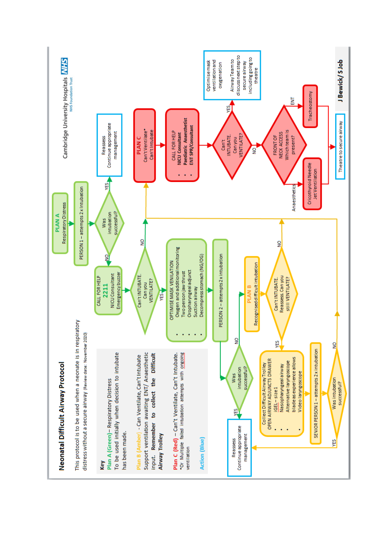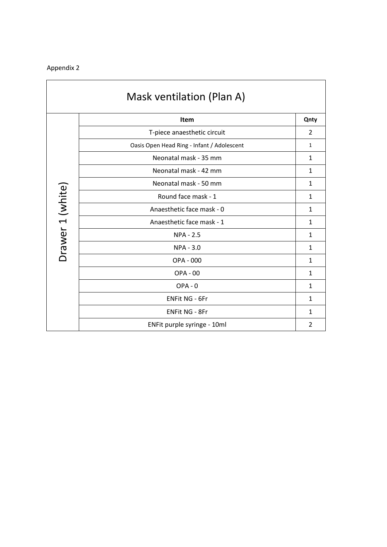| Mask ventilation (Plan A) |                                            |                |
|---------------------------|--------------------------------------------|----------------|
|                           | Item                                       | Qnty           |
|                           | T-piece anaesthetic circuit                | 2              |
|                           | Oasis Open Head Ring - Infant / Adolescent | $\mathbf{1}$   |
|                           | Neonatal mask - 35 mm                      | $\mathbf{1}$   |
|                           | Neonatal mask - 42 mm                      | $\mathbf{1}$   |
|                           | Neonatal mask - 50 mm                      | $\mathbf{1}$   |
| Drawer 1 (white)          | Round face mask - 1                        | $\mathbf{1}$   |
|                           | Anaesthetic face mask - 0                  | $\mathbf{1}$   |
|                           | Anaesthetic face mask - 1                  | 1              |
|                           | <b>NPA - 2.5</b>                           | 1              |
|                           | <b>NPA - 3.0</b>                           | 1              |
|                           | OPA - 000                                  | $\mathbf{1}$   |
|                           | <b>OPA - 00</b>                            | $\mathbf{1}$   |
|                           | $OPA - 0$                                  | 1              |
|                           | <b>ENFit NG - 6Fr</b>                      | 1              |
|                           | <b>ENFit NG - 8Fr</b>                      | $\mathbf{1}$   |
|                           | ENFit purple syringe - 10ml                | $\overline{2}$ |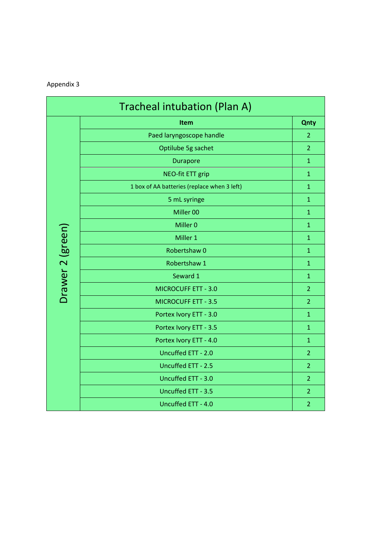| Tracheal intubation (Plan A) |                                             |                |
|------------------------------|---------------------------------------------|----------------|
|                              | Item                                        | <b>Qnty</b>    |
|                              | Paed laryngoscope handle                    | $\overline{2}$ |
|                              | Optilube 5g sachet                          | $\overline{2}$ |
|                              | <b>Durapore</b>                             | $\mathbf{1}$   |
|                              | <b>NEO-fit ETT grip</b>                     | $\mathbf{1}$   |
|                              | 1 box of AA batteries (replace when 3 left) | $\mathbf{1}$   |
|                              | 5 mL syringe                                | $\mathbf{1}$   |
|                              | Miller 00                                   | $\mathbf{1}$   |
|                              | Miller <sub>0</sub>                         | $\mathbf{1}$   |
| Drawer 2 (green)             | Miller 1                                    | $\mathbf{1}$   |
|                              | Robertshaw 0                                | $\mathbf{1}$   |
|                              | Robertshaw 1                                | $\mathbf{1}$   |
|                              | Seward 1                                    | $\mathbf{1}$   |
|                              | <b>MICROCUFF ETT - 3.0</b>                  | $\overline{2}$ |
|                              | <b>MICROCUFF ETT - 3.5</b>                  | $\overline{2}$ |
|                              | Portex Ivory ETT - 3.0                      | $\mathbf{1}$   |
|                              | Portex Ivory ETT - 3.5                      | $\mathbf{1}$   |
|                              | Portex Ivory ETT - 4.0                      | $\mathbf{1}$   |
|                              | Uncuffed ETT - 2.0                          | $\overline{2}$ |
|                              | Uncuffed ETT - 2.5                          | $\overline{2}$ |
|                              | Uncuffed ETT - 3.0                          | $\overline{2}$ |
|                              | Uncuffed ETT - 3.5                          | $\overline{2}$ |
|                              | Uncuffed ETT - 4.0                          | $\overline{2}$ |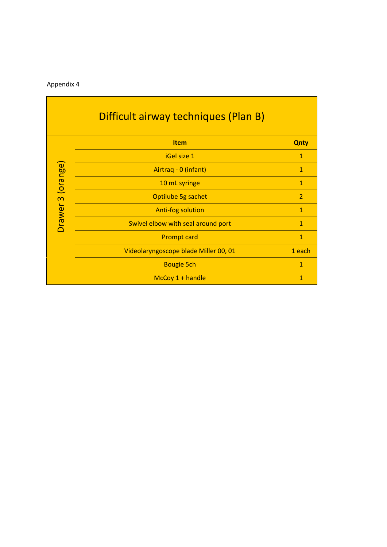| Difficult airway techniques (Plan B) |                                       |                |
|--------------------------------------|---------------------------------------|----------------|
|                                      | <b>Item</b>                           | <b>Qnty</b>    |
|                                      | iGel size 1                           | 1              |
|                                      | Airtraq - 0 (infant)                  | $\mathbf{1}$   |
| Drawer 3 (orange)                    | 10 mL syringe                         | $\mathbf{1}$   |
|                                      | Optilube 5g sachet                    | $\overline{2}$ |
|                                      | <b>Anti-fog solution</b>              | $\mathbf{1}$   |
|                                      | Swivel elbow with seal around port    | $\mathbf{1}$   |
|                                      | <b>Prompt card</b>                    | $\mathbf{1}$   |
|                                      | Videolaryngoscope blade Miller 00, 01 | 1 each         |
|                                      | <b>Bougie 5ch</b>                     | $\mathbf{1}$   |
|                                      | $McCoy 1 + handle$                    | $\mathbf{1}$   |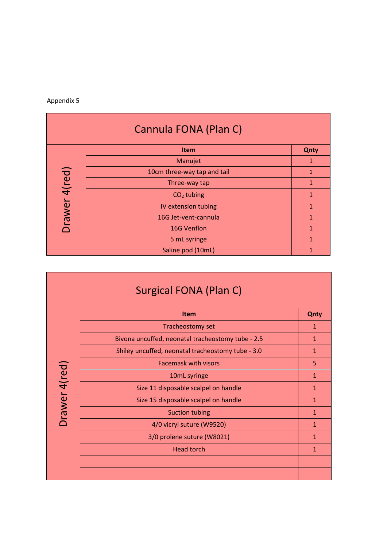| Cannula FONA (Plan C) |                             |              |
|-----------------------|-----------------------------|--------------|
|                       | <b>Item</b>                 | Qnty         |
|                       | Manujet                     |              |
|                       | 10cm three-way tap and tail | $\mathbf{1}$ |
| Orawer 4(red)         | Three-way tap               | $\mathbf{1}$ |
|                       | $CO2$ tubing                | 1            |
|                       | IV extension tubing         | 1            |
|                       | 16G Jet-vent-cannula        | 1            |
|                       | 16G Venflon                 | 1            |
|                       | 5 mL syringe                | 1            |
|                       | Saline pod (10mL)           |              |

| Surgical FONA (Plan C) |                                                   |              |
|------------------------|---------------------------------------------------|--------------|
|                        | <b>Item</b>                                       | <b>Qnty</b>  |
|                        | Tracheostomy set                                  | $\mathbf{1}$ |
|                        | Bivona uncuffed, neonatal tracheostomy tube - 2.5 | 1            |
|                        | Shiley uncuffed, neonatal tracheostomy tube - 3.0 | $\mathbf{1}$ |
|                        | <b>Facemask with visors</b>                       | 5            |
| Drawer 4(red)          | 10mL syringe                                      | $\mathbf{1}$ |
|                        | Size 11 disposable scalpel on handle              | $\mathbf{1}$ |
|                        | Size 15 disposable scalpel on handle              | $\mathbf{1}$ |
|                        | <b>Suction tubing</b>                             | $\mathbf{1}$ |
|                        | 4/0 vicryl suture (W9520)                         | $\mathbf{1}$ |
|                        | 3/0 prolene suture (W8021)                        | $\mathbf{1}$ |
|                        | <b>Head torch</b>                                 | 1            |
|                        |                                                   |              |
|                        |                                                   |              |